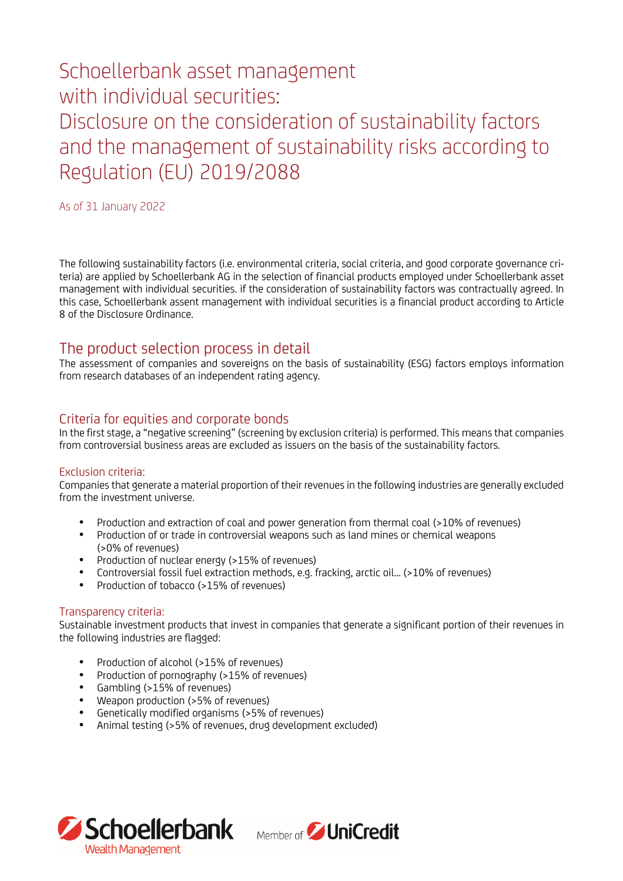# Schoellerbank asset management with individual securities: Disclosure on the consideration of sustainability factors and the management of sustainability risks according to Regulation (EU) 2019/2088

As of 31 January 2022

The following sustainability factors (i.e. environmental criteria, social criteria, and good corporate governance criteria) are applied by Schoellerbank AG in the selection of financial products employed under Schoellerbank asset management with individual securities. if the consideration of sustainability factors was contractually agreed. In this case, Schoellerbank assent management with individual securities is a financial product according to Article 8 of the Disclosure Ordinance.

## The product selection process in detail

The assessment of companies and sovereigns on the basis of sustainability (ESG) factors employs information from research databases of an independent rating agency.

## Criteria for equities and corporate bonds

In the first stage, a "negative screening" (screening by exclusion criteria) is performed. This means that companies from controversial business areas are excluded as issuers on the basis of the sustainability factors.

#### Exclusion criteria:

Companies that generate a material proportion of their revenues in the following industries are generally excluded from the investment universe.

- Production and extraction of coal and power generation from thermal coal (>10% of revenues)
- Production of or trade in controversial weapons such as land mines or chemical weapons (>0% of revenues)
- Production of nuclear energy (>15% of revenues)
- Controversial fossil fuel extraction methods, e.g. fracking, arctic oil... (>10% of revenues)
- Production of tobacco (>15% of revenues)

#### Transparency criteria:

Sustainable investment products that invest in companies that generate a significant portion of their revenues in the following industries are flagged:

- Production of alcohol (>15% of revenues)
- Production of pornography (>15% of revenues)
- Gambling (>15% of revenues)
- Weapon production (>5% of revenues)
- Genetically modified organisms (>5% of revenues)
- Animal testing (>5% of revenues, drug development excluded)



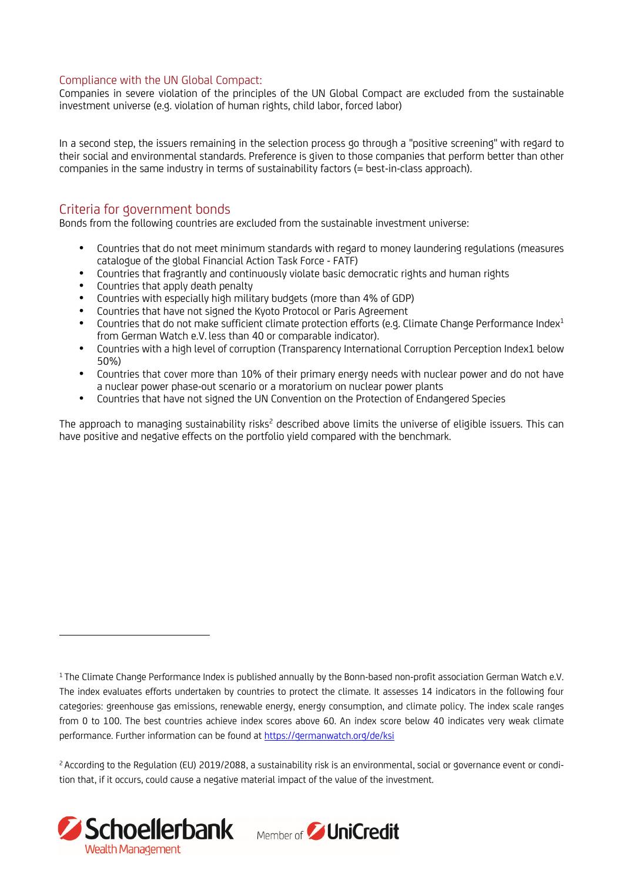#### Compliance with the UN Global Compact:

Companies in severe violation of the principles of the UN Global Compact are excluded from the sustainable investment universe (e.g. violation of human rights, child labor, forced labor)

In a second step, the issuers remaining in the selection process go through a "positive screening" with regard to their social and environmental standards. Preference is given to those companies that perform better than other companies in the same industry in terms of sustainability factors (= best-in-class approach).

## Criteria for government bonds

Bonds from the following countries are excluded from the sustainable investment universe:

- Countries that do not meet minimum standards with regard to money laundering regulations (measures catalogue of the global Financial Action Task Force - FATF)
- Countries that fragrantly and continuously violate basic democratic rights and human rights
- Countries that apply death penalty
- Countries with especially high military budgets (more than 4% of GDP)
- Countries that have not signed the Kyoto Protocol or Paris Agreement
- $\bullet$  Countries that do not make sufficient climate protection efforts (e.g. Climate Change Performance Index<sup>1</sup> from German Watch e.V. less than 40 or comparable indicator).
- Countries with a high level of corruption (Transparency International Corruption Perception Index1 below 50%)
- Countries that cover more than 10% of their primary energy needs with nuclear power and do not have a nuclear power phase-out scenario or a moratorium on nuclear power plants
- Countries that have not signed the UN Convention on the Protection of Endangered Species

The approach to managing sustainability risks<sup>2</sup> described above limits the universe of eligible issuers. This can have positive and negative effects on the portfolio yield compared with the benchmark.

<sup>&</sup>lt;sup>2</sup> According to the Regulation (EU) 2019/2088, a sustainability risk is an environmental, social or governance event or condition that, if it occurs, could cause a negative material impact of the value of the investment.



<sup>&</sup>lt;sup>1</sup> The Climate Change Performance Index is published annually by the Bonn-based non-profit association German Watch e.V. The index evaluates efforts undertaken by countries to protect the climate. It assesses 14 indicators in the following four categories: greenhouse gas emissions, renewable energy, energy consumption, and climate policy. The index scale ranges from 0 to 100. The best countries achieve index scores above 60. An index score below 40 indicates very weak climate performance. Further information can be found at https://germanwatch.org/de/ksi